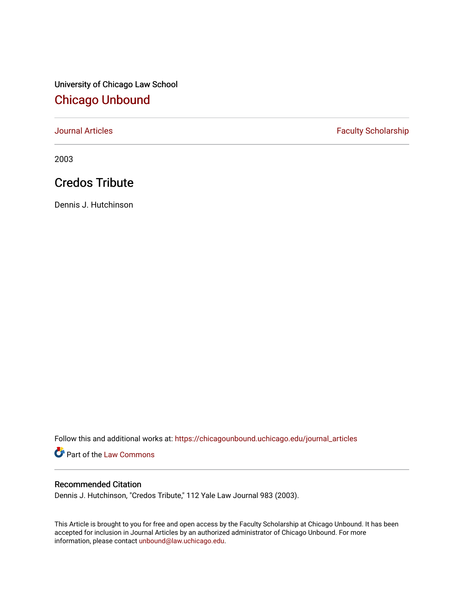University of Chicago Law School [Chicago Unbound](https://chicagounbound.uchicago.edu/)

[Journal Articles](https://chicagounbound.uchicago.edu/journal_articles) **Faculty Scholarship Faculty Scholarship** 

2003

## Credos Tribute

Dennis J. Hutchinson

Follow this and additional works at: [https://chicagounbound.uchicago.edu/journal\\_articles](https://chicagounbound.uchicago.edu/journal_articles?utm_source=chicagounbound.uchicago.edu%2Fjournal_articles%2F1528&utm_medium=PDF&utm_campaign=PDFCoverPages) 

Part of the [Law Commons](http://network.bepress.com/hgg/discipline/578?utm_source=chicagounbound.uchicago.edu%2Fjournal_articles%2F1528&utm_medium=PDF&utm_campaign=PDFCoverPages)

## Recommended Citation

Dennis J. Hutchinson, "Credos Tribute," 112 Yale Law Journal 983 (2003).

This Article is brought to you for free and open access by the Faculty Scholarship at Chicago Unbound. It has been accepted for inclusion in Journal Articles by an authorized administrator of Chicago Unbound. For more information, please contact [unbound@law.uchicago.edu](mailto:unbound@law.uchicago.edu).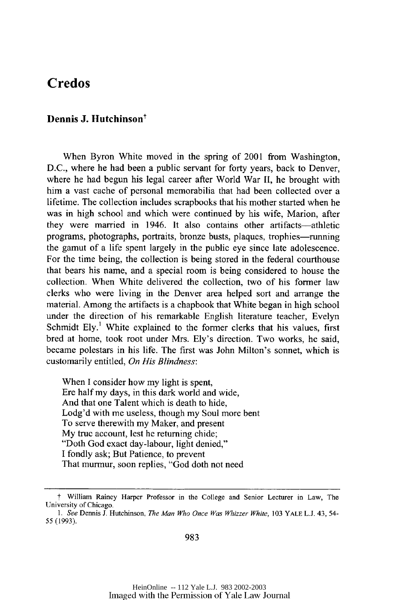## **Credos**

## Dennis J. Hutchinson<sup>†</sup>

When Byron White moved in the spring of 2001 from Washington, **D.C.,** where he had been a public servant for forty years, back to Denver, where he had begun his legal career after World War **II,** he brought with him a vast cache of personal memorabilia that had been collected over a lifetime. The collection includes scrapbooks that his mother started when he was in high school and which were continued **by** his wife, Marion, after they were married in 1946. It **also** contains other artifacts-athletic programs, photographs, portraits, bronze busts, plaques, trophies-running the gamut of a life spent largely in the public eye since late adolescence. For the time being, the collection is being stored in the federal courthouse that bears his name, and a special room is being considered to house the collection. When White delivered the collection, two of his former law clerks who were living in the Denver area helped sort and arrange the material. Among the artifacts is a chapbook that White began in high school under the direction of his remarkable English literature teacher, Evelyn Schmidt **Ely.'** White explained to the former clerks that his values, first bred at home, took root under Mrs. Ely's direction. Two works, he said, became polestars in his life. The first was John Milton's sonnet, which is customarily entitled, *On His Blindness:*

When I consider how my light is spent, Ere half my days, in this dark world and wide, And that one Talent which is death to hide, Lodg'd with me useless, though my Soul more bent To serve therewith my Maker, and present My true account, lest he returning chide; "Doth God exact day-labour, light denied," I fondly ask; But Patience, to prevent That murmur, soon replies, "God doth not need

**f** William Rainey Harper Professor in the College and Senior Lecturer in Law, The University of Chicago.

*<sup>1.</sup> See* Dennis J. Hutchinson, *The Man Who Once Was Whizzer White,* 103 YALE L.J. 43, 54- 55 (1993).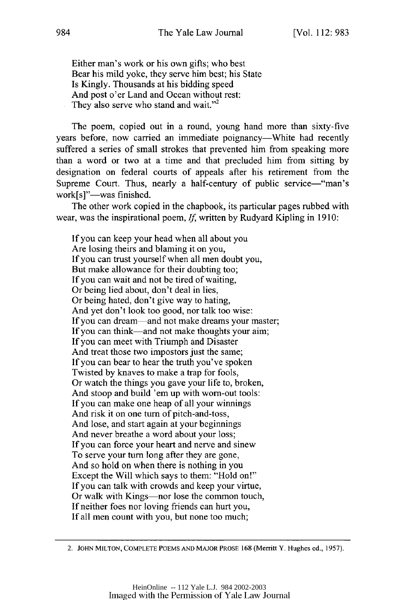Either man's work or his own gifts; who best Bear his mild yoke, they serve him best; his State Is Kingly. Thousands at his bidding speed And post o'er Land and Ocean without rest: They also serve who stand and wait."<sup>2</sup>

The poem, copied out in a round, young hand more than sixty-five years before, now carried an immediate poignancy-White had recently suffered a series of small strokes that prevented him from speaking more than a word or two at a time and that precluded him from sitting by designation on federal courts of appeals after his retirement from the Supreme Court. Thus, nearly a half-century of public service—"man's work[s]"-was finished.

The other work copied in the chapbook, its particular pages rubbed with wear, was the inspirational poem, *If,* written by Rudyard Kipling in 1910:

If you can keep your head when all about you Are losing theirs and blaming it on you, If you can trust yourself when all men doubt you, But make allowance for their doubting too; If you can wait and not be tired of waiting, Or being lied about, don't deal in lies, Or being hated, don't give way to hating, And yet don't look too good, nor talk too wise: If you can dream—and not make dreams your master; If you can think—and not make thoughts your aim; If you can meet with Triumph and Disaster And treat those two impostors just the same; If you can bear to hear the truth you've spoken Twisted by knaves to make a trap for fools, Or watch the things you gave your life to, broken, And stoop and build 'em up with worn-out tools: If you can make one heap of all your winnings And risk it on one turn of pitch-and-toss, And lose, and start again at your beginnings And never breathe a word about your loss; If you can force your heart and nerve and sinew To serve your turn long after they are gone, And so hold on when there is nothing in you Except the Will which says to them: "Hold on!" If you can talk with crowds and keep your virtue, Or walk with Kings—nor lose the common touch, If neither foes nor loving friends can hurt you, If all men count with you, but none too much;

<sup>2.</sup> **JOHN MILTON, COMPLETE POEMS AND** MAJOR PROSE **168** (Merritt Y. Hughes **ed., 1957).**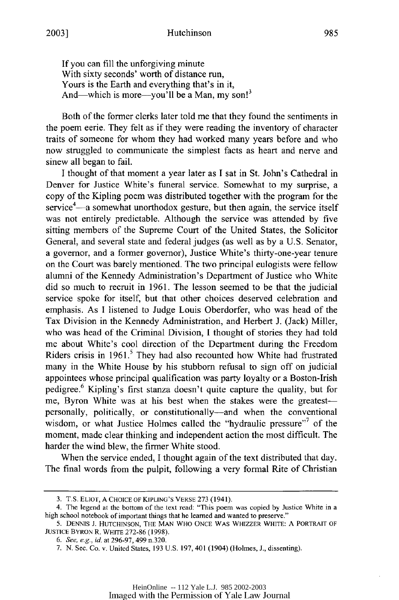If you can fill the unforgiving minute With sixty seconds' worth of distance run, Yours is the Earth and everything that's in it, And—which is more—you'll be a Man, my son!<sup>3</sup>

Both of the former clerks later told me that they found the sentiments in the poem eerie. They felt as if they were reading the inventory of character traits of someone for whom they had worked many years before and who now struggled to communicate the simplest facts as heart and nerve and sinew all began to fail.

I thought of that moment a year later as I sat in St. John's Cathedral in Denver for Justice White's funeral service. Somewhat to my surprise, a copy of the Kipling poem was distributed together with the program for the service $4$ —a somewhat unorthodox gesture, but then again, the service itself was not entirely predictable. Although the service was attended by five sitting members of the Supreme Court of the United States, the Solicitor General, and several state and federal judges (as well as by a U.S. Senator, a governor, and a former governor), Justice White's thirty-one-year tenure on the Court was barely mentioned. The two principal eulogists were fellow alumni of the Kennedy Administration's Department of Justice who White did so much to recruit in 1961. The lesson seemed to be that the judicial service spoke for itself, but that other choices deserved celebration and emphasis. As I listened to Judge Louis Oberdorfer, who was head of the Tax Division in the Kennedy Administration, and Herbert J. (Jack) Miller, who was head of the Criminal Division, I thought of stories they had told me about White's cool direction of the Department during the Freedom Riders crisis in **1961.5** They had also recounted how White had frustrated many in the White House by his stubborn refusal to sign off on judicial appointees whose principal qualification was party loyalty or a Boston-Irish pedigree.<sup>6</sup> Kipling's first stanza doesn't quite capture the quality, but for me, Byron White was at his best when the stakes were the greatestpersonally, politically, or constitutionally-and when the conventional wisdom, or what Justice Holmes called the "hydraulic pressure"<sup>7</sup> of the moment, made clear thinking and independent action the most difficult. The harder the wind blew, the firmer White stood.

When the service ended, I thought again of the text distributed that day. The final words from the pulpit, following a very formal Rite of Christian

<sup>3.</sup> T.S. ELIOr, A CHOICE OF KIPLING'S VERSE 273 (1941).

<sup>4.</sup> The legend at the bottom of the text read: "This poem was copied by Justice White in a high school notebook of important things that he learned and wanted to preserve."

<sup>5.</sup> DENNIS J. HUTCHINSON, THE MAN WHO ONCE WAS WHIZZER WHITE: A PORTRAIT OF JUSTICE BYRON R. WHITE 272-86 (1998).

*<sup>6.</sup> See,* e.g., *id.* at 296-97, 499 n.320.

<sup>7.</sup> N. Sec. Co. v. United States, 193 U.S. 197, 401 (1904) (Holmes, J., dissenting).